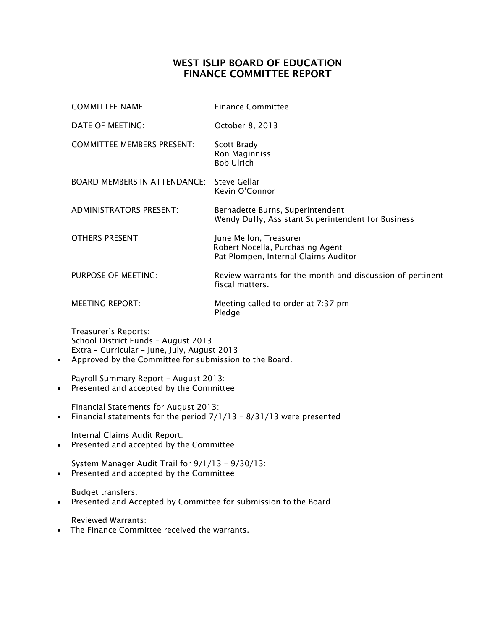## WEST ISLIP BOARD OF EDUCATION FINANCE COMMITTEE REPORT

|           | <b>COMMITTEE NAME:</b>                                                                                                                                                | <b>Finance Committee</b>                                                                           |
|-----------|-----------------------------------------------------------------------------------------------------------------------------------------------------------------------|----------------------------------------------------------------------------------------------------|
|           | <b>DATE OF MEETING:</b>                                                                                                                                               | October 8, 2013                                                                                    |
|           | <b>COMMITTEE MEMBERS PRESENT:</b>                                                                                                                                     | Scott Brady<br>Ron Maginniss<br><b>Bob Ulrich</b>                                                  |
|           | <b>BOARD MEMBERS IN ATTENDANCE:</b>                                                                                                                                   | <b>Steve Gellar</b><br>Kevin O'Connor                                                              |
|           | <b>ADMINISTRATORS PRESENT:</b>                                                                                                                                        | Bernadette Burns, Superintendent<br>Wendy Duffy, Assistant Superintendent for Business             |
|           | <b>OTHERS PRESENT:</b>                                                                                                                                                | June Mellon, Treasurer<br>Robert Nocella, Purchasing Agent<br>Pat Plompen, Internal Claims Auditor |
|           | PURPOSE OF MEETING:                                                                                                                                                   | Review warrants for the month and discussion of pertinent<br>fiscal matters.                       |
|           | <b>MEETING REPORT:</b>                                                                                                                                                | Meeting called to order at 7:37 pm<br>Pledge                                                       |
| $\bullet$ | Treasurer's Reports:<br>School District Funds - August 2013<br>Extra - Curricular - June, July, August 2013<br>Approved by the Committee for submission to the Board. |                                                                                                    |
| $\bullet$ | Payroll Summary Report - August 2013:<br>Presented and accepted by the Committee                                                                                      |                                                                                                    |
| $\bullet$ | Financial Statements for August 2013:<br>Financial statements for the period $7/1/13 - 8/31/13$ were presented                                                        |                                                                                                    |
| $\bullet$ | Internal Claims Audit Report:<br>Presented and accepted by the Committee                                                                                              |                                                                                                    |
| $\bullet$ | System Manager Audit Trail for 9/1/13 - 9/30/13:<br>Presented and accepted by the Committee                                                                           |                                                                                                    |
| $\bullet$ | <b>Budget transfers:</b><br>Presented and Accepted by Committee for submission to the Board                                                                           |                                                                                                    |
|           | <b>Reviewed Warrants:</b><br>The Finance Committee received the warrants.                                                                                             |                                                                                                    |